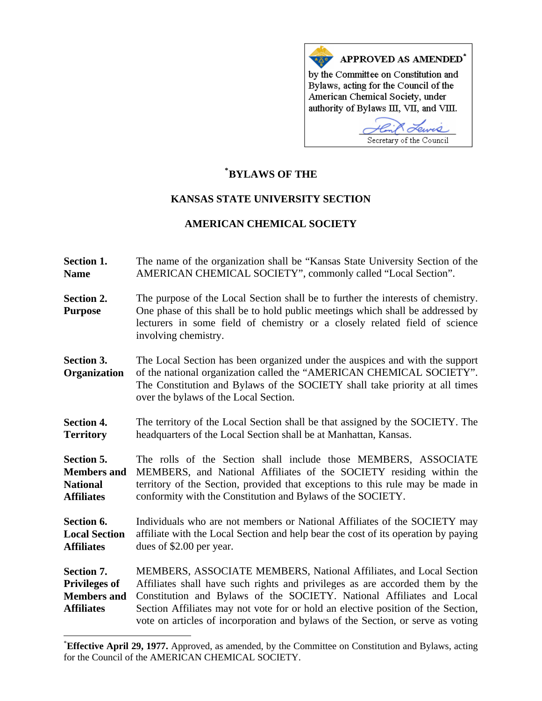

## **\* [BYLAWS OF THE](#page-0-0)**

## **KANSAS STATE UNIVERSITY SECTION**

## **AMERICAN CHEMICAL SOCIETY**

- **Section 1. Name**  The name of the organization shall be "Kansas State University Section of the AMERICAN CHEMICAL SOCIETY", commonly called "Local Section".
- **Section 2. Purpose**  The purpose of the Local Section shall be to further the interests of chemistry. One phase of this shall be to hold public meetings which shall be addressed by lecturers in some field of chemistry or a closely related field of science involving chemistry.
- **Section 3. Organization**  The Local Section has been organized under the auspices and with the support of the national organization called the "AMERICAN CHEMICAL SOCIETY". The Constitution and Bylaws of the SOCIETY shall take priority at all times over the bylaws of the Local Section.
- **Section 4. Territory**  The territory of the Local Section shall be that assigned by the SOCIETY. The headquarters of the Local Section shall be at Manhattan, Kansas.

**Section 5. Members and National Affiliates**  The rolls of the Section shall include those MEMBERS, ASSOCIATE MEMBERS, and National Affiliates of the SOCIETY residing within the territory of the Section, provided that exceptions to this rule may be made in conformity with the Constitution and Bylaws of the SOCIETY.

**Section 6. Local Section Affiliates**  Individuals who are not members or National Affiliates of the SOCIETY may affiliate with the Local Section and help bear the cost of its operation by paying dues of \$2.00 per year.

**Section 7. Privileges of Members and Affiliates**  MEMBERS, ASSOCIATE MEMBERS, National Affiliates, and Local Section Affiliates shall have such rights and privileges as are accorded them by the Constitution and Bylaws of the SOCIETY. National Affiliates and Local Section Affiliates may not vote for or hold an elective position of the Section, vote on articles of incorporation and bylaws of the Section, or serve as voting

 $\overline{a}$ 

<span id="page-0-0"></span><sup>\*</sup> **Effective April 29, 1977.** Approved, as amended, by the Committee on Constitution and Bylaws, acting for the Council of the AMERICAN CHEMICAL SOCIETY.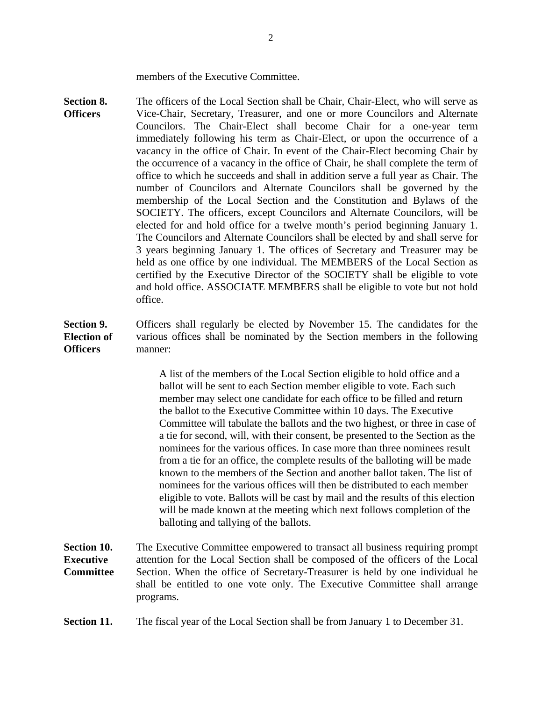members of the Executive Committee.

**Section 8. Officers**  The officers of the Local Section shall be Chair, Chair-Elect, who will serve as Vice-Chair, Secretary, Treasurer, and one or more Councilors and Alternate Councilors. The Chair-Elect shall become Chair for a one-year term immediately following his term as Chair-Elect, or upon the occurrence of a vacancy in the office of Chair. In event of the Chair-Elect becoming Chair by the occurrence of a vacancy in the office of Chair, he shall complete the term of office to which he succeeds and shall in addition serve a full year as Chair. The number of Councilors and Alternate Councilors shall be governed by the membership of the Local Section and the Constitution and Bylaws of the SOCIETY. The officers, except Councilors and Alternate Councilors, will be elected for and hold office for a twelve month's period beginning January 1. The Councilors and Alternate Councilors shall be elected by and shall serve for 3 years beginning January 1. The offices of Secretary and Treasurer may be held as one office by one individual. The MEMBERS of the Local Section as certified by the Executive Director of the SOCIETY shall be eligible to vote and hold office. ASSOCIATE MEMBERS shall be eligible to vote but not hold office.

**Section 9. Election of Officers**  Officers shall regularly be elected by November 15. The candidates for the various offices shall be nominated by the Section members in the following manner:

> A list of the members of the Local Section eligible to hold office and a ballot will be sent to each Section member eligible to vote. Each such member may select one candidate for each office to be filled and return the ballot to the Executive Committee within 10 days. The Executive Committee will tabulate the ballots and the two highest, or three in case of a tie for second, will, with their consent, be presented to the Section as the nominees for the various offices. In case more than three nominees result from a tie for an office, the complete results of the balloting will be made known to the members of the Section and another ballot taken. The list of nominees for the various offices will then be distributed to each member eligible to vote. Ballots will be cast by mail and the results of this election will be made known at the meeting which next follows completion of the balloting and tallying of the ballots.

**Section 10. Executive Committee**  The Executive Committee empowered to transact all business requiring prompt attention for the Local Section shall be composed of the officers of the Local Section. When the office of Secretary-Treasurer is held by one individual he shall be entitled to one vote only. The Executive Committee shall arrange programs.

**Section 11.** The fiscal year of the Local Section shall be from January 1 to December 31.